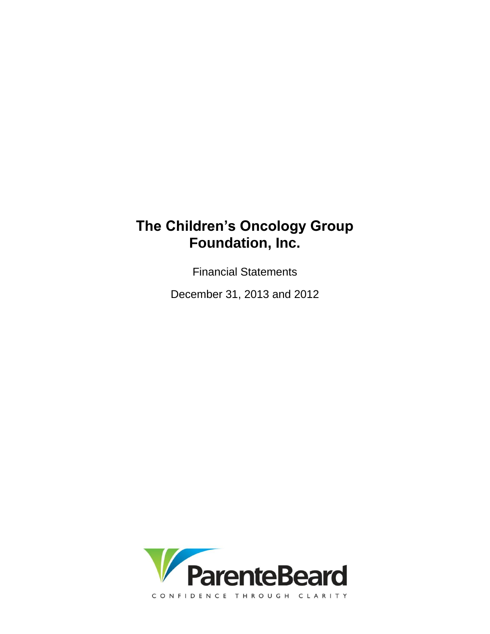Financial Statements

December 31, 2013 and 2012

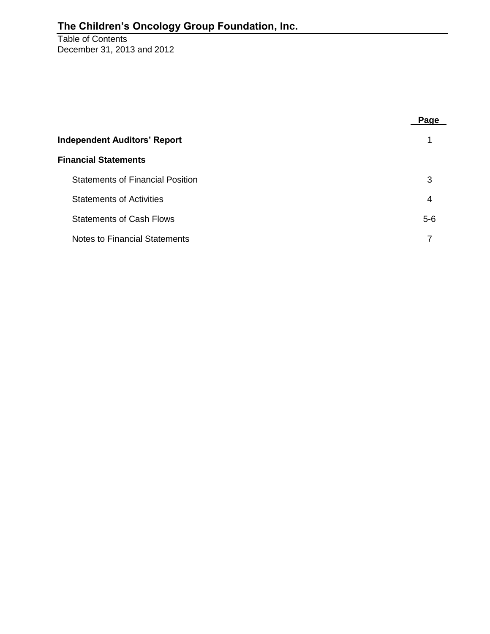Table of Contents December 31, 2013 and 2012

|                                         | Page    |
|-----------------------------------------|---------|
| <b>Independent Auditors' Report</b>     |         |
| <b>Financial Statements</b>             |         |
| <b>Statements of Financial Position</b> | 3       |
| <b>Statements of Activities</b>         | 4       |
| <b>Statements of Cash Flows</b>         | $5 - 6$ |
| <b>Notes to Financial Statements</b>    |         |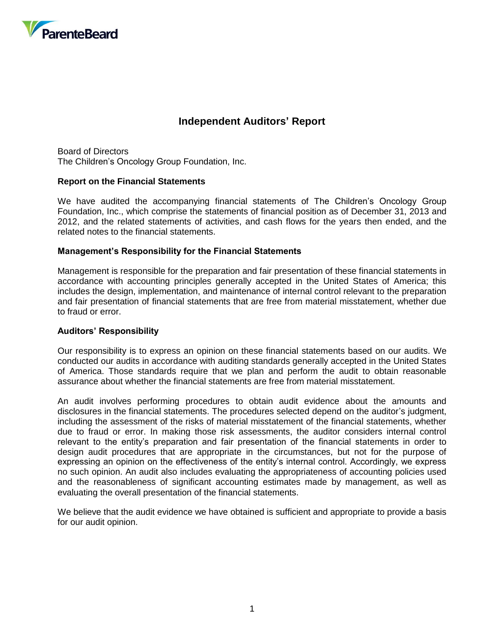

## **Independent Auditors' Report**

Board of Directors The Children's Oncology Group Foundation, Inc.

#### **Report on the Financial Statements**

We have audited the accompanying financial statements of The Children's Oncology Group Foundation, Inc., which comprise the statements of financial position as of December 31, 2013 and 2012, and the related statements of activities, and cash flows for the years then ended, and the related notes to the financial statements.

#### **Management's Responsibility for the Financial Statements**

Management is responsible for the preparation and fair presentation of these financial statements in accordance with accounting principles generally accepted in the United States of America; this includes the design, implementation, and maintenance of internal control relevant to the preparation and fair presentation of financial statements that are free from material misstatement, whether due to fraud or error.

#### **Auditors' Responsibility**

Our responsibility is to express an opinion on these financial statements based on our audits. We conducted our audits in accordance with auditing standards generally accepted in the United States of America. Those standards require that we plan and perform the audit to obtain reasonable assurance about whether the financial statements are free from material misstatement.

An audit involves performing procedures to obtain audit evidence about the amounts and disclosures in the financial statements. The procedures selected depend on the auditor's judgment, including the assessment of the risks of material misstatement of the financial statements, whether due to fraud or error. In making those risk assessments, the auditor considers internal control relevant to the entity's preparation and fair presentation of the financial statements in order to design audit procedures that are appropriate in the circumstances, but not for the purpose of expressing an opinion on the effectiveness of the entity's internal control. Accordingly, we express no such opinion. An audit also includes evaluating the appropriateness of accounting policies used and the reasonableness of significant accounting estimates made by management, as well as evaluating the overall presentation of the financial statements.

We believe that the audit evidence we have obtained is sufficient and appropriate to provide a basis for our audit opinion.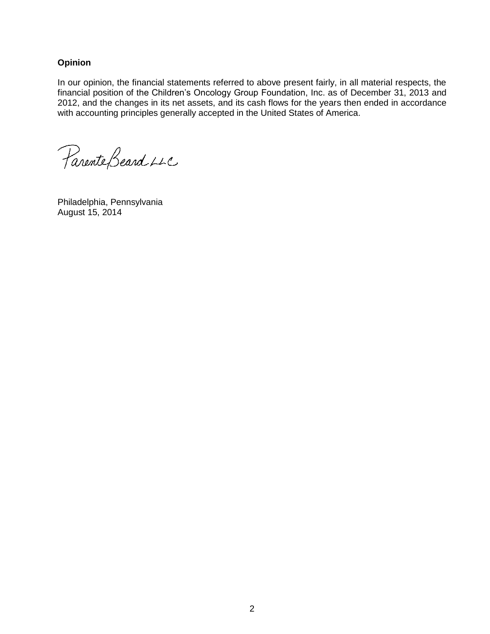**Opinion**

In our opinion, the financial statements referred to above present fairly, in all material respects, the financial position of the Children's Oncology Group Foundation, Inc. as of December 31, 2013 and 2012, and the changes in its net assets, and its cash flows for the years then ended in accordance with accounting principles generally accepted in the United States of America.

Parente Beard LLC

Philadelphia, Pennsylvania August 15, 2014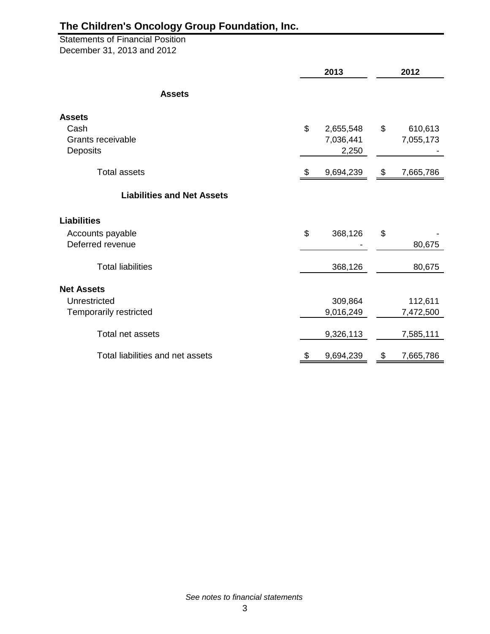Statements of Financial Position December 31, 2013 and 2012

|                                   |    | 2013      | 2012            |
|-----------------------------------|----|-----------|-----------------|
| <b>Assets</b>                     |    |           |                 |
| <b>Assets</b>                     |    |           |                 |
| Cash                              | \$ | 2,655,548 | \$<br>610,613   |
| Grants receivable                 |    | 7,036,441 | 7,055,173       |
| Deposits                          |    | 2,250     |                 |
| <b>Total assets</b>               | S. | 9,694,239 | \$<br>7,665,786 |
| <b>Liabilities and Net Assets</b> |    |           |                 |
| <b>Liabilities</b>                |    |           |                 |
| Accounts payable                  | \$ | 368,126   | \$              |
| Deferred revenue                  |    |           | 80,675          |
| <b>Total liabilities</b>          |    | 368,126   | 80,675          |
|                                   |    |           |                 |
| <b>Net Assets</b>                 |    |           |                 |
| Unrestricted                      |    | 309,864   | 112,611         |
| Temporarily restricted            |    | 9,016,249 | 7,472,500       |
| Total net assets                  |    | 9,326,113 | 7,585,111       |
| Total liabilities and net assets  | \$ | 9,694,239 | \$<br>7,665,786 |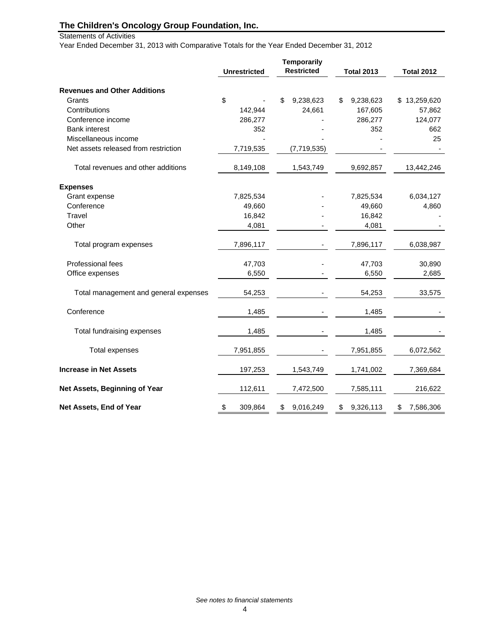#### Statements of Activities

Year Ended December 31, 2013 with Comparative Totals for the Year Ended December 31, 2012

|                                       | <b>Unrestricted</b> | <b>Temporarily</b><br><b>Restricted</b> | <b>Total 2013</b> | <b>Total 2012</b> |
|---------------------------------------|---------------------|-----------------------------------------|-------------------|-------------------|
| <b>Revenues and Other Additions</b>   |                     |                                         |                   |                   |
| Grants                                | \$                  | 9,238,623<br>\$                         | \$<br>9,238,623   | \$13,259,620      |
| Contributions                         | 142,944             | 24,661                                  | 167,605           | 57,862            |
| Conference income                     | 286,277             |                                         | 286,277           | 124,077           |
| <b>Bank interest</b>                  | 352                 |                                         | 352               | 662               |
| Miscellaneous income                  |                     |                                         |                   | 25                |
| Net assets released from restriction  | 7,719,535           | (7,719,535)                             |                   |                   |
| Total revenues and other additions    | 8,149,108           | 1,543,749                               | 9,692,857         | 13,442,246        |
| <b>Expenses</b>                       |                     |                                         |                   |                   |
| Grant expense                         | 7,825,534           |                                         | 7,825,534         | 6,034,127         |
| Conference                            | 49,660              |                                         | 49,660            | 4,860             |
| Travel                                | 16,842              |                                         | 16,842            |                   |
| Other                                 | 4,081               |                                         | 4,081             |                   |
| Total program expenses                | 7,896,117           |                                         | 7,896,117         | 6,038,987         |
| Professional fees                     | 47,703              |                                         | 47,703            | 30,890            |
| Office expenses                       | 6,550               |                                         | 6,550             | 2,685             |
| Total management and general expenses | 54,253              |                                         | 54,253            | 33,575            |
| Conference                            | 1,485               |                                         | 1,485             |                   |
| Total fundraising expenses            | 1,485               |                                         | 1,485             |                   |
| Total expenses                        | 7,951,855           |                                         | 7,951,855         | 6,072,562         |
| <b>Increase in Net Assets</b>         | 197,253             | 1,543,749                               | 1,741,002         | 7,369,684         |
| Net Assets, Beginning of Year         | 112,611             | 7,472,500                               | 7,585,111         | 216,622           |
| Net Assets, End of Year               | \$<br>309,864       | 9,016,249<br>\$                         | \$<br>9,326,113   | \$<br>7,586,306   |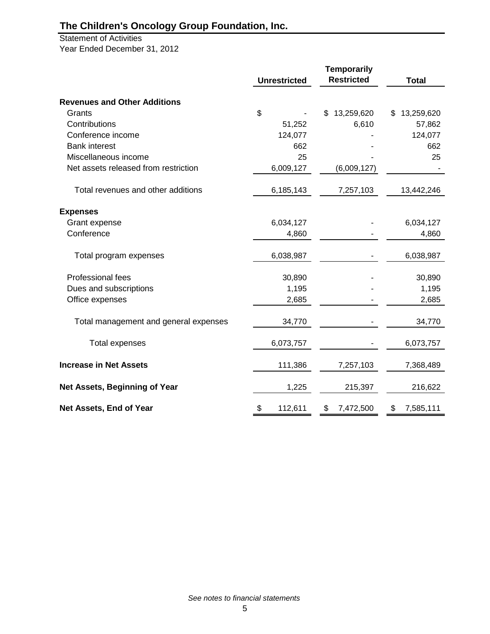# Statement of Activities

Year Ended December 31, 2012

|                                       | <b>Temporarily</b>  |                   |                  |  |
|---------------------------------------|---------------------|-------------------|------------------|--|
|                                       | <b>Unrestricted</b> | <b>Restricted</b> | <b>Total</b>     |  |
| <b>Revenues and Other Additions</b>   |                     |                   |                  |  |
| Grants                                | \$                  | 13,259,620<br>\$  | 13,259,620<br>\$ |  |
| Contributions                         | 51,252              | 6,610             | 57,862           |  |
| Conference income                     | 124,077             |                   | 124,077          |  |
| <b>Bank interest</b>                  | 662                 |                   | 662              |  |
| Miscellaneous income                  | 25                  |                   | 25               |  |
| Net assets released from restriction  | 6,009,127           | (6,009,127)       |                  |  |
|                                       |                     |                   |                  |  |
| Total revenues and other additions    | 6,185,143           | 7,257,103         | 13,442,246       |  |
| <b>Expenses</b>                       |                     |                   |                  |  |
| Grant expense                         | 6,034,127           |                   | 6,034,127        |  |
| Conference                            | 4,860               |                   | 4,860            |  |
|                                       |                     |                   |                  |  |
| Total program expenses                | 6,038,987           |                   | 6,038,987        |  |
|                                       |                     |                   |                  |  |
| Professional fees                     | 30,890              |                   | 30,890           |  |
| Dues and subscriptions                | 1,195               |                   | 1,195            |  |
| Office expenses                       | 2,685               |                   | 2,685            |  |
|                                       |                     |                   |                  |  |
| Total management and general expenses | 34,770              |                   | 34,770           |  |
|                                       |                     |                   |                  |  |
| Total expenses                        | 6,073,757           |                   | 6,073,757        |  |
| <b>Increase in Net Assets</b>         | 111,386             | 7,257,103         | 7,368,489        |  |
| Net Assets, Beginning of Year         | 1,225               | 215,397           | 216,622          |  |
|                                       |                     |                   |                  |  |
| Net Assets, End of Year               | \$<br>112,611       | \$<br>7,472,500   | \$<br>7,585,111  |  |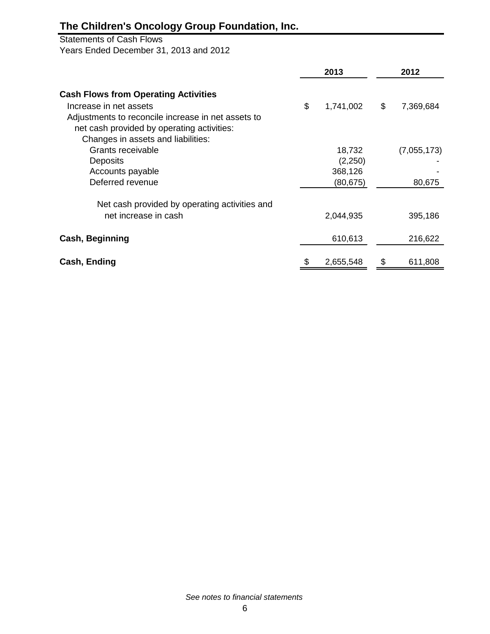## Statements of Cash Flows Years Ended December 31, 2013 and 2012

|                                                    | 2013 |           | 2012            |  |
|----------------------------------------------------|------|-----------|-----------------|--|
| <b>Cash Flows from Operating Activities</b>        |      |           |                 |  |
| Increase in net assets                             | \$   | 1,741,002 | \$<br>7,369,684 |  |
| Adjustments to reconcile increase in net assets to |      |           |                 |  |
| net cash provided by operating activities:         |      |           |                 |  |
| Changes in assets and liabilities:                 |      |           |                 |  |
| Grants receivable                                  |      | 18,732    | (7,055,173)     |  |
| Deposits                                           |      | (2,250)   |                 |  |
| Accounts payable                                   |      | 368,126   |                 |  |
| Deferred revenue                                   |      | (80, 675) | 80,675          |  |
| Net cash provided by operating activities and      |      |           |                 |  |
| net increase in cash                               |      | 2,044,935 | 395,186         |  |
| <b>Cash, Beginning</b>                             |      | 610,613   | 216,622         |  |
| Cash, Ending                                       | \$   | 2,655,548 | \$<br>611,808   |  |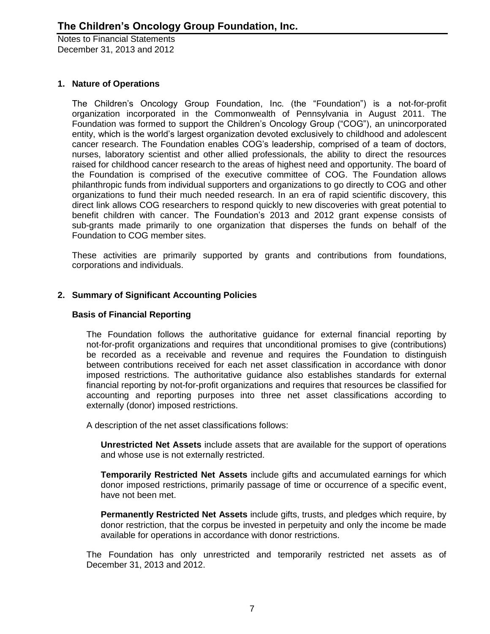#### **1. Nature of Operations**

The Children's Oncology Group Foundation, Inc. (the "Foundation") is a not-for-profit organization incorporated in the Commonwealth of Pennsylvania in August 2011. The Foundation was formed to support the Children's Oncology Group ("COG"), an unincorporated entity, which is the world's largest organization devoted exclusively to childhood and adolescent cancer research. The Foundation enables COG's leadership, comprised of a team of doctors, nurses, laboratory scientist and other allied professionals, the ability to direct the resources raised for childhood cancer research to the areas of highest need and opportunity. The board of the Foundation is comprised of the executive committee of COG. The Foundation allows philanthropic funds from individual supporters and organizations to go directly to COG and other organizations to fund their much needed research. In an era of rapid scientific discovery, this direct link allows COG researchers to respond quickly to new discoveries with great potential to benefit children with cancer. The Foundation's 2013 and 2012 grant expense consists of sub-grants made primarily to one organization that disperses the funds on behalf of the Foundation to COG member sites.

These activities are primarily supported by grants and contributions from foundations, corporations and individuals.

#### **2. Summary of Significant Accounting Policies**

#### **Basis of Financial Reporting**

The Foundation follows the authoritative guidance for external financial reporting by not-for-profit organizations and requires that unconditional promises to give (contributions) be recorded as a receivable and revenue and requires the Foundation to distinguish between contributions received for each net asset classification in accordance with donor imposed restrictions. The authoritative guidance also establishes standards for external financial reporting by not-for-profit organizations and requires that resources be classified for accounting and reporting purposes into three net asset classifications according to externally (donor) imposed restrictions.

A description of the net asset classifications follows:

**Unrestricted Net Assets** include assets that are available for the support of operations and whose use is not externally restricted.

**Temporarily Restricted Net Assets** include gifts and accumulated earnings for which donor imposed restrictions, primarily passage of time or occurrence of a specific event, have not been met.

**Permanently Restricted Net Assets** include gifts, trusts, and pledges which require, by donor restriction, that the corpus be invested in perpetuity and only the income be made available for operations in accordance with donor restrictions.

The Foundation has only unrestricted and temporarily restricted net assets as of December 31, 2013 and 2012.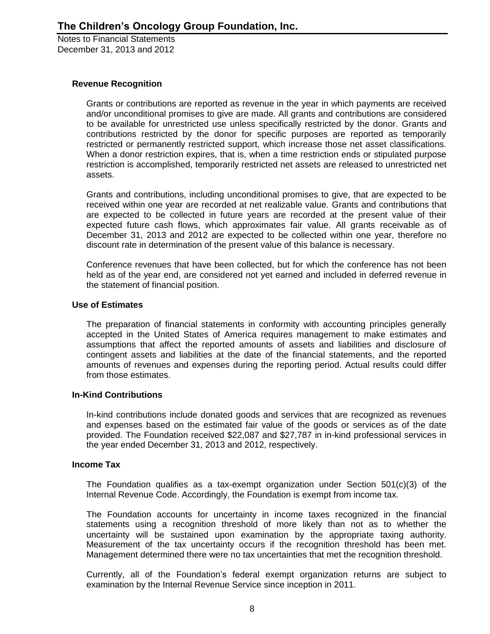#### **Revenue Recognition**

Grants or contributions are reported as revenue in the year in which payments are received and/or unconditional promises to give are made. All grants and contributions are considered to be available for unrestricted use unless specifically restricted by the donor. Grants and contributions restricted by the donor for specific purposes are reported as temporarily restricted or permanently restricted support, which increase those net asset classifications. When a donor restriction expires, that is, when a time restriction ends or stipulated purpose restriction is accomplished, temporarily restricted net assets are released to unrestricted net assets.

Grants and contributions, including unconditional promises to give, that are expected to be received within one year are recorded at net realizable value. Grants and contributions that are expected to be collected in future years are recorded at the present value of their expected future cash flows, which approximates fair value. All grants receivable as of December 31, 2013 and 2012 are expected to be collected within one year, therefore no discount rate in determination of the present value of this balance is necessary.

Conference revenues that have been collected, but for which the conference has not been held as of the year end, are considered not yet earned and included in deferred revenue in the statement of financial position.

#### **Use of Estimates**

The preparation of financial statements in conformity with accounting principles generally accepted in the United States of America requires management to make estimates and assumptions that affect the reported amounts of assets and liabilities and disclosure of contingent assets and liabilities at the date of the financial statements, and the reported amounts of revenues and expenses during the reporting period. Actual results could differ from those estimates.

#### **In-Kind Contributions**

In-kind contributions include donated goods and services that are recognized as revenues and expenses based on the estimated fair value of the goods or services as of the date provided. The Foundation received \$22,087 and \$27,787 in in-kind professional services in the year ended December 31, 2013 and 2012, respectively.

#### **Income Tax**

The Foundation qualifies as a tax-exempt organization under Section 501(c)(3) of the Internal Revenue Code. Accordingly, the Foundation is exempt from income tax.

The Foundation accounts for uncertainty in income taxes recognized in the financial statements using a recognition threshold of more likely than not as to whether the uncertainty will be sustained upon examination by the appropriate taxing authority. Measurement of the tax uncertainty occurs if the recognition threshold has been met. Management determined there were no tax uncertainties that met the recognition threshold.

Currently, all of the Foundation's federal exempt organization returns are subject to examination by the Internal Revenue Service since inception in 2011.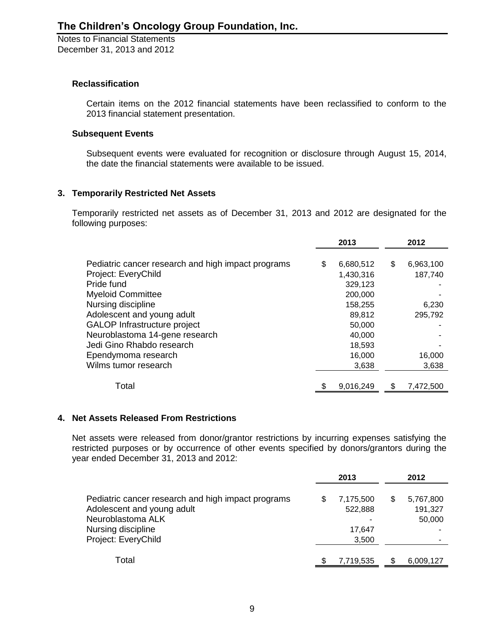#### **Reclassification**

Certain items on the 2012 financial statements have been reclassified to conform to the 2013 financial statement presentation.

#### **Subsequent Events**

Subsequent events were evaluated for recognition or disclosure through August 15, 2014, the date the financial statements were available to be issued.

#### **3. Temporarily Restricted Net Assets**

Temporarily restricted net assets as of December 31, 2013 and 2012 are designated for the following purposes:

|                                                    | 2013 |           | 2012 |           |
|----------------------------------------------------|------|-----------|------|-----------|
| Pediatric cancer research and high impact programs | \$   | 6,680,512 | \$   | 6,963,100 |
| Project: EveryChild                                |      | 1,430,316 |      | 187,740   |
| Pride fund                                         |      | 329,123   |      |           |
| <b>Myeloid Committee</b>                           |      | 200,000   |      |           |
| Nursing discipline                                 |      | 158,255   |      | 6,230     |
| Adolescent and young adult                         |      | 89,812    |      | 295,792   |
| <b>GALOP Infrastructure project</b>                |      | 50,000    |      |           |
| Neuroblastoma 14-gene research                     |      | 40,000    |      |           |
| Jedi Gino Rhabdo research                          |      | 18,593    |      |           |
| Ependymoma research                                |      | 16,000    |      | 16,000    |
| Wilms tumor research                               |      | 3,638     |      | 3,638     |
| Total                                              |      | 9,016,249 | S    | 7.472.500 |

#### **4. Net Assets Released From Restrictions**

Net assets were released from donor/grantor restrictions by incurring expenses satisfying the restricted purposes or by occurrence of other events specified by donors/grantors during the year ended December 31, 2013 and 2012:

|                                                    | 2013      | 2012            |
|----------------------------------------------------|-----------|-----------------|
| Pediatric cancer research and high impact programs | 7,175,500 | \$<br>5,767,800 |
| Adolescent and young adult                         | 522,888   | 191,327         |
| Neuroblastoma ALK                                  |           | 50,000          |
| Nursing discipline                                 | 17.647    |                 |
| Project: EveryChild                                | 3.500     |                 |
|                                                    |           |                 |
| Total                                              | 7,719,535 | 6,009,127       |